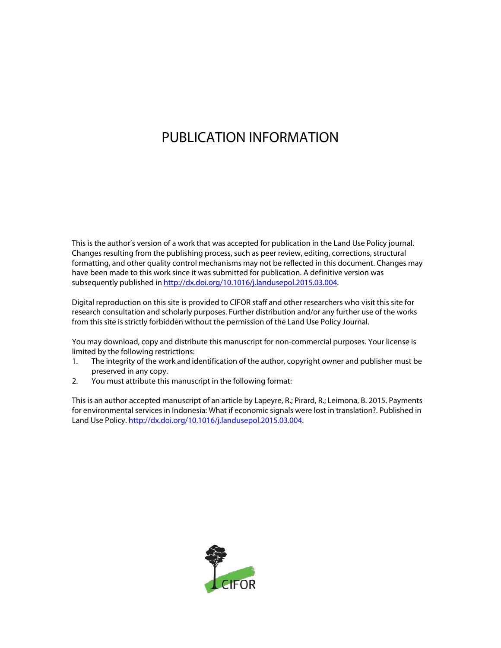# PUBLICATION INFORMATION

This is the author's version of a work that was accepted for publication in the Land Use Policy journal. Changes resulting from the publishing process, such as peer review, editing, corrections, structural formatting, and other quality control mechanisms may not be reflected in this document. Changes may have been made to this work since it was submitted for publication. A definitive version was subsequently published i[n http://dx.doi.org/10.1016/j.landusepol.2015.03.004.](http://dx.doi.org/10.1016/j.landusepol.2015.03.004)

Digital reproduction on this site is provided to CIFOR staff and other researchers who visit this site for research consultation and scholarly purposes. Further distribution and/or any further use of the works from this site is strictly forbidden without the permission of the Land Use Policy Journal.

You may download, copy and distribute this manuscript for non-commercial purposes. Your license is limited by the following restrictions:

- 1. The integrity of the work and identification of the author, copyright owner and publisher must be preserved in any copy.
- 2. You must attribute this manuscript in the following format:

This is an author accepted manuscript of an article by Lapeyre, R.; Pirard, R.; Leimona, B. 2015. Payments for environmental services in Indonesia: What if economic signals were lost in translation?. Published in Land Use Policy. http://dx.doi.org/10.1016/j.landusepol.2015.03.004.

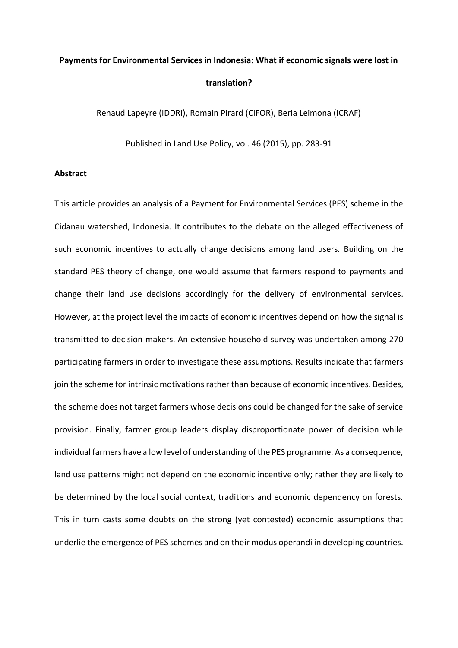# **Payments for Environmental Services in Indonesia: What if economic signals were lost in translation?**

Renaud Lapeyre (IDDRI), Romain Pirard (CIFOR), Beria Leimona (ICRAF)

Published in Land Use Policy, vol. 46 (2015), pp. 283-91

## **Abstract**

This article provides an analysis of a Payment for Environmental Services (PES) scheme in the Cidanau watershed, Indonesia. It contributes to the debate on the alleged effectiveness of such economic incentives to actually change decisions among land users. Building on the standard PES theory of change, one would assume that farmers respond to payments and change their land use decisions accordingly for the delivery of environmental services. However, at the project level the impacts of economic incentives depend on how the signal is transmitted to decision-makers. An extensive household survey was undertaken among 270 participating farmers in order to investigate these assumptions. Results indicate that farmers join the scheme for intrinsic motivations rather than because of economic incentives. Besides, the scheme does not target farmers whose decisions could be changed for the sake of service provision. Finally, farmer group leaders display disproportionate power of decision while individual farmers have a low level of understanding of the PES programme. As a consequence, land use patterns might not depend on the economic incentive only; rather they are likely to be determined by the local social context, traditions and economic dependency on forests. This in turn casts some doubts on the strong (yet contested) economic assumptions that underlie the emergence of PES schemes and on their modus operandi in developing countries.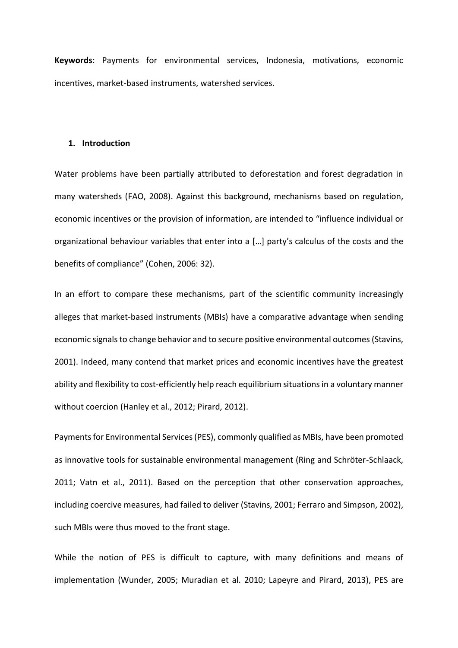**Keywords**: Payments for environmental services, Indonesia, motivations, economic incentives, market-based instruments, watershed services.

#### **1. Introduction**

Water problems have been partially attributed to deforestation and forest degradation in many watersheds (FAO, 2008). Against this background, mechanisms based on regulation, economic incentives or the provision of information, are intended to "influence individual or organizational behaviour variables that enter into a […] party's calculus of the costs and the benefits of compliance" (Cohen, 2006: 32).

In an effort to compare these mechanisms, part of the scientific community increasingly alleges that market-based instruments (MBIs) have a comparative advantage when sending economic signals to change behavior and to secure positive environmental outcomes (Stavins, 2001). Indeed, many contend that market prices and economic incentives have the greatest ability and flexibility to cost-efficiently help reach equilibrium situations in a voluntary manner without coercion (Hanley et al., 2012; Pirard, 2012).

Payments for Environmental Services (PES), commonly qualified as MBIs, have been promoted as innovative tools for sustainable environmental management (Ring and Schröter-Schlaack, 2011; Vatn et al., 2011). Based on the perception that other conservation approaches, including coercive measures, had failed to deliver (Stavins, 2001; Ferraro and Simpson, 2002), such MBIs were thus moved to the front stage.

While the notion of PES is difficult to capture, with many definitions and means of implementation (Wunder, 2005; Muradian et al. 2010; Lapeyre and Pirard, 2013), PES are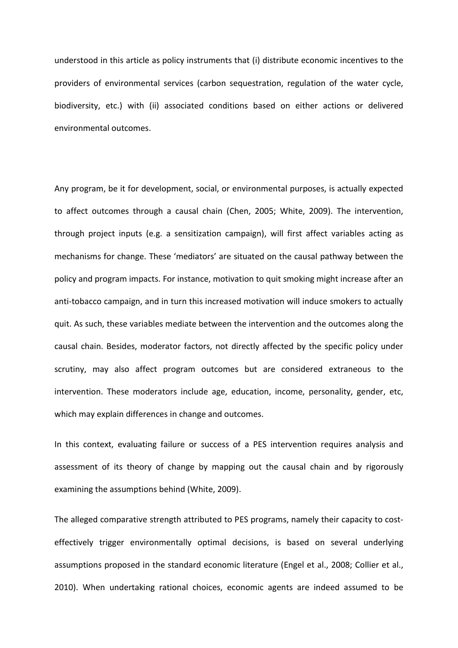understood in this article as policy instruments that (i) distribute economic incentives to the providers of environmental services (carbon sequestration, regulation of the water cycle, biodiversity, etc.) with (ii) associated conditions based on either actions or delivered environmental outcomes.

Any program, be it for development, social, or environmental purposes, is actually expected to affect outcomes through a causal chain (Chen, 2005; White, 2009). The intervention, through project inputs (e.g. a sensitization campaign), will first affect variables acting as mechanisms for change. These 'mediators' are situated on the causal pathway between the policy and program impacts. For instance, motivation to quit smoking might increase after an anti-tobacco campaign, and in turn this increased motivation will induce smokers to actually quit. As such, these variables mediate between the intervention and the outcomes along the causal chain. Besides, moderator factors, not directly affected by the specific policy under scrutiny, may also affect program outcomes but are considered extraneous to the intervention. These moderators include age, education, income, personality, gender, etc, which may explain differences in change and outcomes.

In this context, evaluating failure or success of a PES intervention requires analysis and assessment of its theory of change by mapping out the causal chain and by rigorously examining the assumptions behind (White, 2009).

The alleged comparative strength attributed to PES programs, namely their capacity to costeffectively trigger environmentally optimal decisions, is based on several underlying assumptions proposed in the standard economic literature (Engel et al., 2008; Collier et al., 2010). When undertaking rational choices, economic agents are indeed assumed to be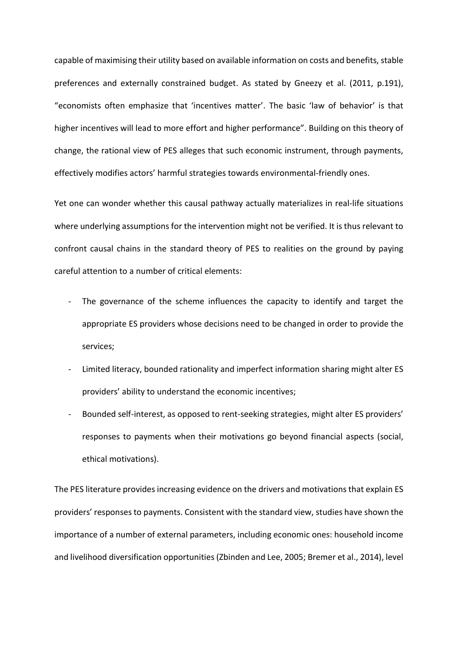capable of maximising their utility based on available information on costs and benefits, stable preferences and externally constrained budget. As stated by Gneezy et al. (2011, p.191), "economists often emphasize that 'incentives matter'. The basic 'law of behavior' is that higher incentives will lead to more effort and higher performance". Building on this theory of change, the rational view of PES alleges that such economic instrument, through payments, effectively modifies actors' harmful strategies towards environmental-friendly ones.

Yet one can wonder whether this causal pathway actually materializes in real-life situations where underlying assumptions for the intervention might not be verified. It is thus relevant to confront causal chains in the standard theory of PES to realities on the ground by paying careful attention to a number of critical elements:

- The governance of the scheme influences the capacity to identify and target the appropriate ES providers whose decisions need to be changed in order to provide the services;
- Limited literacy, bounded rationality and imperfect information sharing might alter ES providers' ability to understand the economic incentives;
- Bounded self-interest, as opposed to rent-seeking strategies, might alter ES providers' responses to payments when their motivations go beyond financial aspects (social, ethical motivations).

The PES literature provides increasing evidence on the drivers and motivations that explain ES providers' responses to payments. Consistent with the standard view, studies have shown the importance of a number of external parameters, including economic ones: household income and livelihood diversification opportunities (Zbinden and Lee, 2005; Bremer et al., 2014), level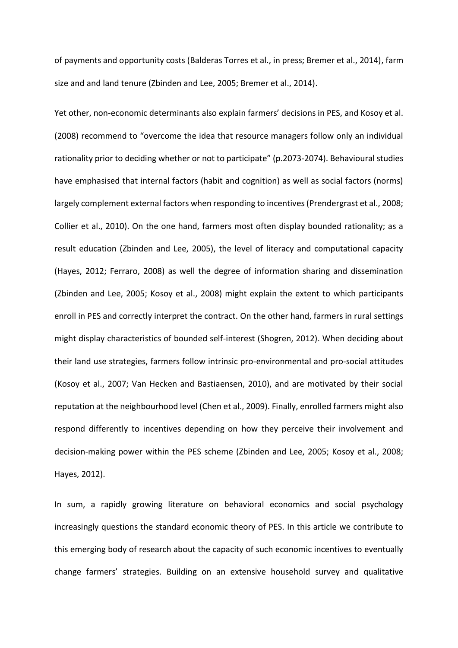of payments and opportunity costs (Balderas Torres et al., in press; Bremer et al., 2014), farm size and and land tenure (Zbinden and Lee, 2005; Bremer et al., 2014).

Yet other, non-economic determinants also explain farmers' decisions in PES, and Kosoy et al. (2008) recommend to "overcome the idea that resource managers follow only an individual rationality prior to deciding whether or not to participate" (p.2073-2074). Behavioural studies have emphasised that internal factors (habit and cognition) as well as social factors (norms) largely complement external factors when responding to incentives(Prendergrast et al., 2008; Collier et al., 2010). On the one hand, farmers most often display bounded rationality; as a result education (Zbinden and Lee, 2005), the level of literacy and computational capacity (Hayes, 2012; Ferraro, 2008) as well the degree of information sharing and dissemination (Zbinden and Lee, 2005; Kosoy et al., 2008) might explain the extent to which participants enroll in PES and correctly interpret the contract. On the other hand, farmers in rural settings might display characteristics of bounded self-interest (Shogren, 2012). When deciding about their land use strategies, farmers follow intrinsic pro-environmental and pro-social attitudes (Kosoy et al., 2007; Van Hecken and Bastiaensen, 2010), and are motivated by their social reputation at the neighbourhood level (Chen et al., 2009). Finally, enrolled farmers might also respond differently to incentives depending on how they perceive their involvement and decision-making power within the PES scheme (Zbinden and Lee, 2005; Kosoy et al., 2008; Hayes, 2012).

In sum, a rapidly growing literature on behavioral economics and social psychology increasingly questions the standard economic theory of PES. In this article we contribute to this emerging body of research about the capacity of such economic incentives to eventually change farmers' strategies. Building on an extensive household survey and qualitative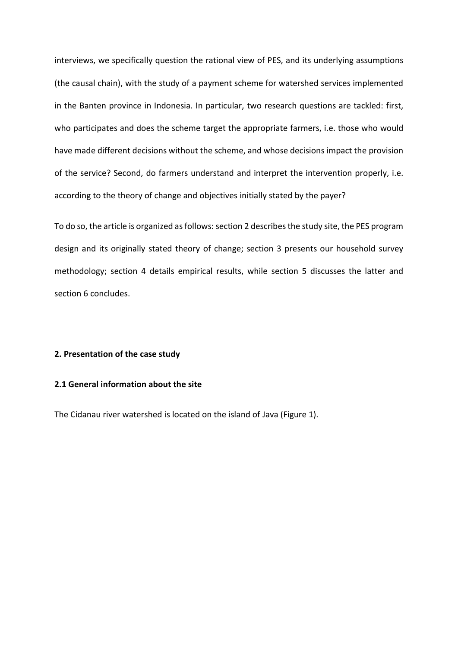interviews, we specifically question the rational view of PES, and its underlying assumptions (the causal chain), with the study of a payment scheme for watershed services implemented in the Banten province in Indonesia. In particular, two research questions are tackled: first, who participates and does the scheme target the appropriate farmers, i.e. those who would have made different decisions without the scheme, and whose decisions impact the provision of the service? Second, do farmers understand and interpret the intervention properly, i.e. according to the theory of change and objectives initially stated by the payer?

To do so, the article is organized as follows: section 2 describes the study site, the PES program design and its originally stated theory of change; section 3 presents our household survey methodology; section 4 details empirical results, while section 5 discusses the latter and section 6 concludes.

## **2. Presentation of the case study**

# **2.1 General information about the site**

The Cidanau river watershed is located on the island of Java (Figure 1).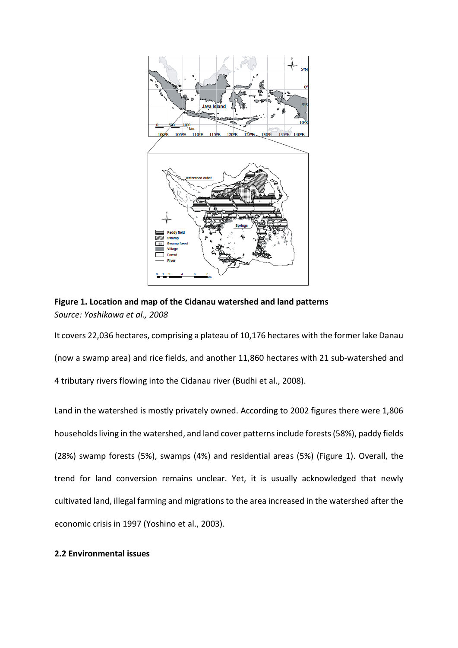

**Figure 1. Location and map of the Cidanau watershed and land patterns** *Source: Yoshikawa et al., 2008*

It covers 22,036 hectares, comprising a plateau of 10,176 hectares with the former lake Danau (now a swamp area) and rice fields, and another 11,860 hectares with 21 sub-watershed and 4 tributary rivers flowing into the Cidanau river (Budhi et al., 2008).

Land in the watershed is mostly privately owned. According to 2002 figures there were 1,806 households living in the watershed, and land cover patterns include forests(58%), paddy fields (28%) swamp forests (5%), swamps (4%) and residential areas (5%) (Figure 1). Overall, the trend for land conversion remains unclear. Yet, it is usually acknowledged that newly cultivated land, illegal farming and migrations to the area increased in the watershed after the economic crisis in 1997 (Yoshino et al., 2003).

# **2.2 Environmental issues**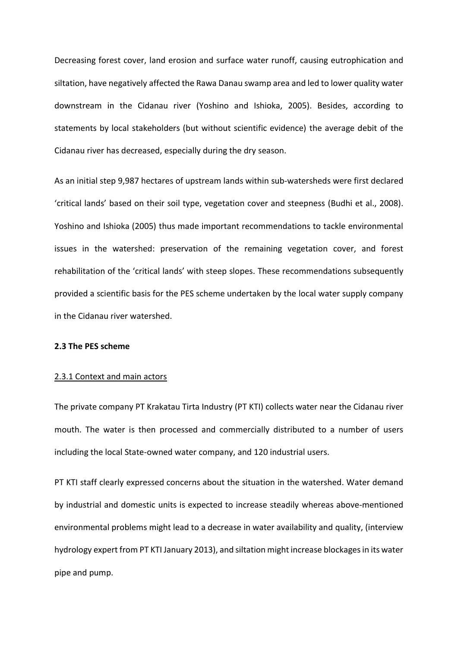Decreasing forest cover, land erosion and surface water runoff, causing eutrophication and siltation, have negatively affected the Rawa Danau swamp area and led to lower quality water downstream in the Cidanau river (Yoshino and Ishioka, 2005). Besides, according to statements by local stakeholders (but without scientific evidence) the average debit of the Cidanau river has decreased, especially during the dry season.

As an initial step 9,987 hectares of upstream lands within sub-watersheds were first declared 'critical lands' based on their soil type, vegetation cover and steepness (Budhi et al., 2008). Yoshino and Ishioka (2005) thus made important recommendations to tackle environmental issues in the watershed: preservation of the remaining vegetation cover, and forest rehabilitation of the 'critical lands' with steep slopes. These recommendations subsequently provided a scientific basis for the PES scheme undertaken by the local water supply company in the Cidanau river watershed.

## **2.3 The PES scheme**

#### 2.3.1 Context and main actors

The private company PT Krakatau Tirta Industry (PT KTI) collects water near the Cidanau river mouth. The water is then processed and commercially distributed to a number of users including the local State-owned water company, and 120 industrial users.

PT KTI staff clearly expressed concerns about the situation in the watershed. Water demand by industrial and domestic units is expected to increase steadily whereas above-mentioned environmental problems might lead to a decrease in water availability and quality, (interview hydrology expert from PT KTI January 2013), and siltation might increase blockages in its water pipe and pump.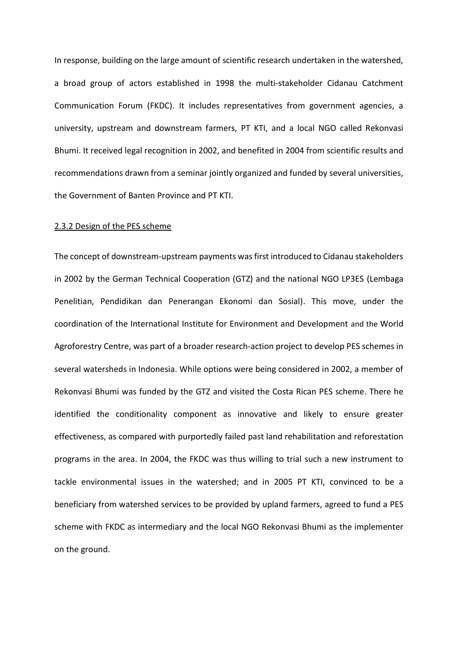In response, building on the large amount of scientific research undertaken in the watershed, a broad group of actors established in 1998 the multi-stakeholder Cidanau Catchment Communication Forum (FKDC). It includes representatives from government agencies, a university, upstream and downstream farmers, PT KTI, and a local NGO called Rekonvasi Bhumi. It received legal recognition in 2002, and benefited in 2004 from scientific results and recommendations drawn from a seminar jointly organized and funded by several universities, the Government of Banten Province and PT KTI.

#### 2.3.2 Design of the PES scheme

The concept of downstream-upstream payments was first introduced to Cidanau stakeholders in 2002 by the German Technical Cooperation (GTZ) and the national NGO LP3ES (Lembaga Penelitian, Pendidikan dan Penerangan Ekonomi dan Sosial). This move, under the coordination of the International Institute for Environment and Development and the World Agroforestry Centre, was part of a broader research-action project to develop PES schemes in several watersheds in Indonesia. While options were being considered in 2002, a member of Rekonvasi Bhumi was funded by the GTZ and visited the Costa Rican PES scheme. There he identified the conditionality component as innovative and likely to ensure greater effectiveness, as compared with purportedly failed past land rehabilitation and reforestation programs in the area. In 2004, the FKDC was thus willing to trial such a new instrument to tackle environmental issues in the watershed; and in 2005 PT KTI, convinced to be a beneficiary from watershed services to be provided by upland farmers, agreed to fund a PES scheme with FKDC as intermediary and the local NGO Rekonvasi Bhumi as the implementer on the ground.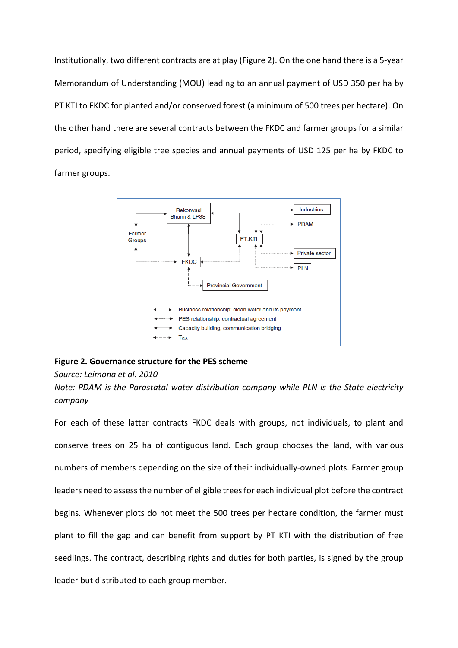Institutionally, two different contracts are at play (Figure 2). On the one hand there is a 5-year Memorandum of Understanding (MOU) leading to an annual payment of USD 350 per ha by PT KTI to FKDC for planted and/or conserved forest (a minimum of 500 trees per hectare). On the other hand there are several contracts between the FKDC and farmer groups for a similar period, specifying eligible tree species and annual payments of USD 125 per ha by FKDC to farmer groups.



## **Figure 2. Governance structure for the PES scheme**

## *Source: Leimona et al. 2010*

*Note: PDAM is the Parastatal water distribution company while PLN is the State electricity company*

For each of these latter contracts FKDC deals with groups, not individuals, to plant and conserve trees on 25 ha of contiguous land. Each group chooses the land, with various numbers of members depending on the size of their individually-owned plots. Farmer group leaders need to assess the number of eligible trees for each individual plot before the contract begins. Whenever plots do not meet the 500 trees per hectare condition, the farmer must plant to fill the gap and can benefit from support by PT KTI with the distribution of free seedlings. The contract, describing rights and duties for both parties, is signed by the group leader but distributed to each group member.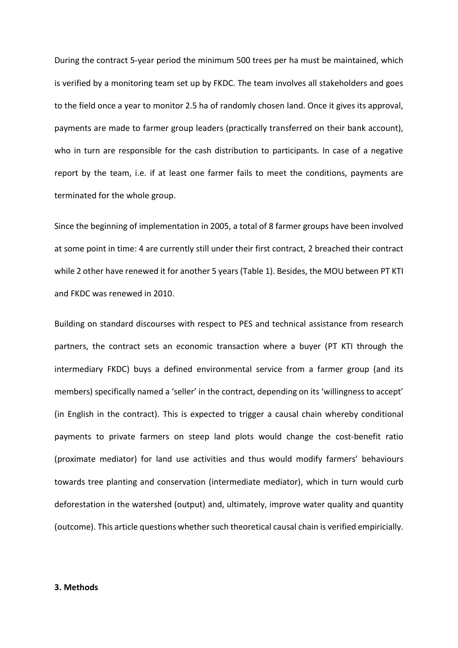During the contract 5-year period the minimum 500 trees per ha must be maintained, which is verified by a monitoring team set up by FKDC. The team involves all stakeholders and goes to the field once a year to monitor 2.5 ha of randomly chosen land. Once it gives its approval, payments are made to farmer group leaders (practically transferred on their bank account), who in turn are responsible for the cash distribution to participants. In case of a negative report by the team, i.e. if at least one farmer fails to meet the conditions, payments are terminated for the whole group.

Since the beginning of implementation in 2005, a total of 8 farmer groups have been involved at some point in time: 4 are currently still under their first contract, 2 breached their contract while 2 other have renewed it for another 5 years (Table 1). Besides, the MOU between PT KTI and FKDC was renewed in 2010.

Building on standard discourses with respect to PES and technical assistance from research partners, the contract sets an economic transaction where a buyer (PT KTI through the intermediary FKDC) buys a defined environmental service from a farmer group (and its members) specifically named a 'seller' in the contract, depending on its 'willingness to accept' (in English in the contract). This is expected to trigger a causal chain whereby conditional payments to private farmers on steep land plots would change the cost-benefit ratio (proximate mediator) for land use activities and thus would modify farmers' behaviours towards tree planting and conservation (intermediate mediator), which in turn would curb deforestation in the watershed (output) and, ultimately, improve water quality and quantity (outcome). This article questions whether such theoretical causal chain is verified empiricially.

#### **3. Methods**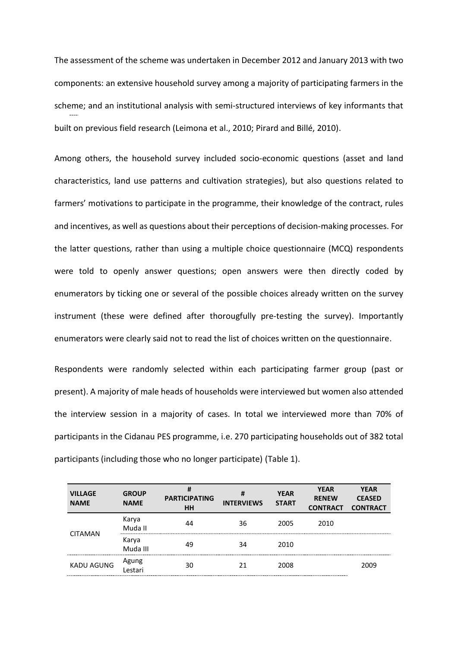The assessment of the scheme was undertaken in December 2012 and January 2013 with two components: an extensive household survey among a majority of participating farmers in the scheme; and an institutional analysis with semi-structured interviews of key informants that built on previous field research (Leimona et al., 2010; Pirard and Billé, 2010).

Among others, the household survey included socio-economic questions (asset and land characteristics, land use patterns and cultivation strategies), but also questions related to farmers' motivations to participate in the programme, their knowledge of the contract, rules and incentives, as well as questions about their perceptions of decision-making processes. For the latter questions, rather than using a multiple choice questionnaire (MCQ) respondents were told to openly answer questions; open answers were then directly coded by enumerators by ticking one or several of the possible choices already written on the survey instrument (these were defined after thorougfully pre-testing the survey). Importantly enumerators were clearly said not to read the list of choices written on the questionnaire.

Respondents were randomly selected within each participating farmer group (past or present). A majority of male heads of households were interviewed but women also attended the interview session in a majority of cases. In total we interviewed more than 70% of participants in the Cidanau PES programme, i.e. 270 participating households out of 382 total participants (including those who no longer participate) (Table 1).

| <b>VILLAGE</b><br><b>NAME</b> | <b>GROUP</b><br><b>NAME</b> | #<br><b>PARTICIPATING</b><br><b>HH</b> | #<br><b>INTERVIEWS</b> | <b>YEAR</b><br><b>START</b> | <b>YEAR</b><br><b>RENEW</b><br><b>CONTRACT</b> | <b>YEAR</b><br><b>CEASED</b><br><b>CONTRACT</b> |
|-------------------------------|-----------------------------|----------------------------------------|------------------------|-----------------------------|------------------------------------------------|-------------------------------------------------|
| <b>CITAMAN</b>                | Karya<br>Muda II            | 44                                     | 36                     | 2005                        | 2010                                           |                                                 |
|                               | Karya<br>Muda III           | 49                                     | 34                     | 2010                        |                                                |                                                 |
| <b>KADU AGUNG</b>             | Agung<br>Lestari            | 30                                     | 21                     | 2008                        |                                                | 2009                                            |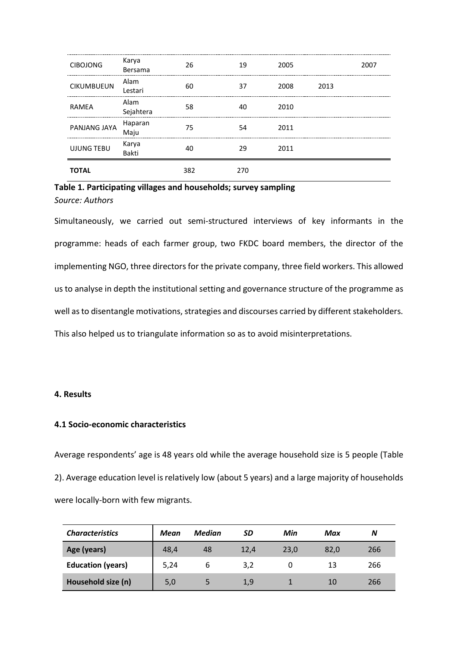| <b>CIBOJONG</b>   | Karya<br>Bersama  | 26  | 19  | 2005 |      | 2007 |
|-------------------|-------------------|-----|-----|------|------|------|
| <b>CIKUMBUEUN</b> | Alam<br>Lestari   | 60  | 37  | 2008 | 2013 |      |
| RAMEA             | Alam<br>Sejahtera | 58  | 40  | 2010 |      |      |
| PANJANG JAYA      | Haparan<br>Maju   | 75  | 54  | 2011 |      |      |
| <b>UJUNG TEBU</b> | Karya<br>Bakti    | 40  | 29  | 2011 |      |      |
| TOTAL             |                   | 382 | 270 |      |      |      |

# **Table 1. Participating villages and households; survey sampling** *Source: Authors*

Simultaneously, we carried out semi-structured interviews of key informants in the programme: heads of each farmer group, two FKDC board members, the director of the implementing NGO, three directors for the private company, three field workers. This allowed us to analyse in depth the institutional setting and governance structure of the programme as well as to disentangle motivations, strategies and discourses carried by different stakeholders. This also helped us to triangulate information so as to avoid misinterpretations.

# **4. Results**

# **4.1 Socio-economic characteristics**

Average respondents' age is 48 years old while the average household size is 5 people (Table 2). Average education level is relatively low (about 5 years) and a large majority of households were locally-born with few migrants.

| <b>Characteristics</b>   | Mean | <b>Median</b> | SD   | Min  | Max  | N   |
|--------------------------|------|---------------|------|------|------|-----|
| Age (years)              | 48,4 | 48            | 12,4 | 23.0 | 82.0 | 266 |
| <b>Education (years)</b> | 5,24 | b             | 3,2  |      | 13   | 266 |
| Household size (n)       | 5,0  |               | 1,9  |      | 10   | 266 |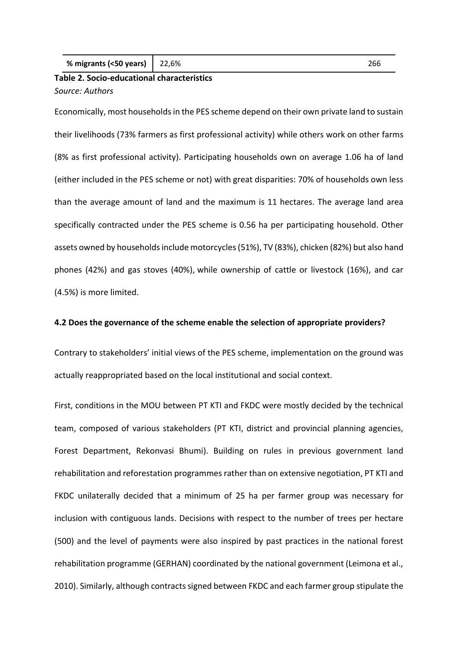| % migrants (<50 years)   $22,6%$ |  |  |
|----------------------------------|--|--|
|----------------------------------|--|--|

# **Table 2. Socio-educational characteristics** *Source: Authors*

Economically, most households in the PES scheme depend on their own private land to sustain their livelihoods (73% farmers as first professional activity) while others work on other farms (8% as first professional activity). Participating households own on average 1.06 ha of land (either included in the PES scheme or not) with great disparities: 70% of households own less than the average amount of land and the maximum is 11 hectares. The average land area specifically contracted under the PES scheme is 0.56 ha per participating household. Other assets owned by households include motorcycles (51%), TV (83%), chicken (82%) but also hand phones (42%) and gas stoves (40%), while ownership of cattle or livestock (16%), and car (4.5%) is more limited.

#### **4.2 Does the governance of the scheme enable the selection of appropriate providers?**

Contrary to stakeholders' initial views of the PES scheme, implementation on the ground was actually reappropriated based on the local institutional and social context.

First, conditions in the MOU between PT KTI and FKDC were mostly decided by the technical team, composed of various stakeholders (PT KTI, district and provincial planning agencies, Forest Department, Rekonvasi Bhumi). Building on rules in previous government land rehabilitation and reforestation programmes rather than on extensive negotiation, PT KTI and FKDC unilaterally decided that a minimum of 25 ha per farmer group was necessary for inclusion with contiguous lands. Decisions with respect to the number of trees per hectare (500) and the level of payments were also inspired by past practices in the national forest rehabilitation programme (GERHAN) coordinated by the national government (Leimona et al., 2010). Similarly, although contracts signed between FKDC and each farmer group stipulate the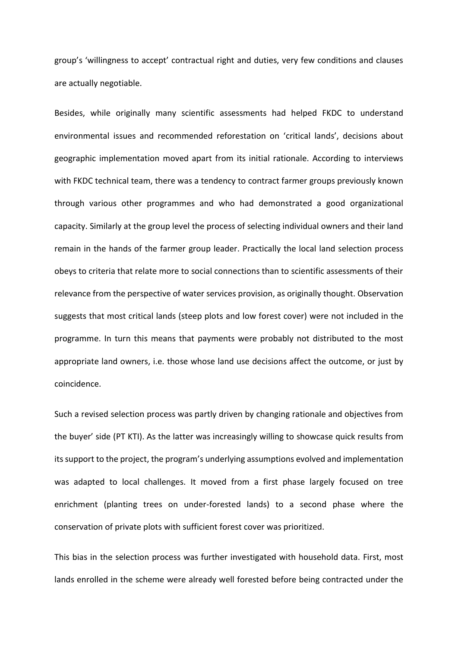group's 'willingness to accept' contractual right and duties, very few conditions and clauses are actually negotiable.

Besides, while originally many scientific assessments had helped FKDC to understand environmental issues and recommended reforestation on 'critical lands', decisions about geographic implementation moved apart from its initial rationale. According to interviews with FKDC technical team, there was a tendency to contract farmer groups previously known through various other programmes and who had demonstrated a good organizational capacity. Similarly at the group level the process of selecting individual owners and their land remain in the hands of the farmer group leader. Practically the local land selection process obeys to criteria that relate more to social connections than to scientific assessments of their relevance from the perspective of water services provision, as originally thought. Observation suggests that most critical lands (steep plots and low forest cover) were not included in the programme. In turn this means that payments were probably not distributed to the most appropriate land owners, i.e. those whose land use decisions affect the outcome, or just by coincidence.

Such a revised selection process was partly driven by changing rationale and objectives from the buyer' side (PT KTI). As the latter was increasingly willing to showcase quick results from its support to the project, the program's underlying assumptions evolved and implementation was adapted to local challenges. It moved from a first phase largely focused on tree enrichment (planting trees on under-forested lands) to a second phase where the conservation of private plots with sufficient forest cover was prioritized.

This bias in the selection process was further investigated with household data. First, most lands enrolled in the scheme were already well forested before being contracted under the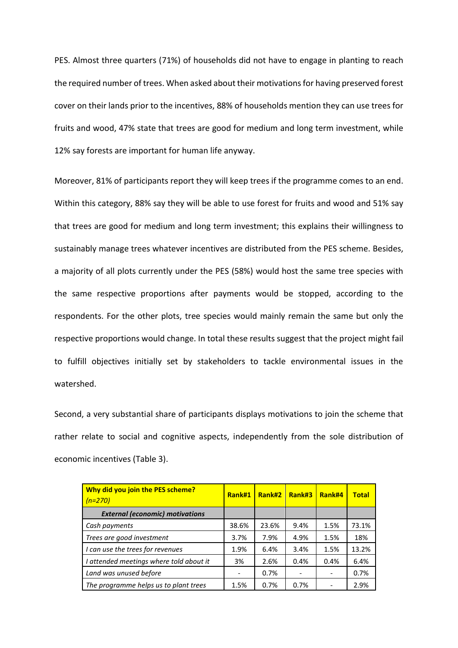PES. Almost three quarters (71%) of households did not have to engage in planting to reach the required number of trees. When asked about their motivations for having preserved forest cover on their lands prior to the incentives, 88% of households mention they can use trees for fruits and wood, 47% state that trees are good for medium and long term investment, while 12% say forests are important for human life anyway.

Moreover, 81% of participants report they will keep trees if the programme comes to an end. Within this category, 88% say they will be able to use forest for fruits and wood and 51% say that trees are good for medium and long term investment; this explains their willingness to sustainably manage trees whatever incentives are distributed from the PES scheme. Besides, a majority of all plots currently under the PES (58%) would host the same tree species with the same respective proportions after payments would be stopped, according to the respondents. For the other plots, tree species would mainly remain the same but only the respective proportions would change. In total these results suggest that the project might fail to fulfill objectives initially set by stakeholders to tackle environmental issues in the watershed.

Second, a very substantial share of participants displays motivations to join the scheme that rather relate to social and cognitive aspects, independently from the sole distribution of economic incentives (Table 3).

| Why did you join the PES scheme?<br>$(n=270)$ | Rank#1 | Rank#2 | Rank#3 | Rank#4 | <b>Total</b> |
|-----------------------------------------------|--------|--------|--------|--------|--------------|
| <b>External (economic) motivations</b>        |        |        |        |        |              |
| Cash payments                                 | 38.6%  | 23.6%  | 9.4%   | 1.5%   | 73.1%        |
| Trees are good investment                     | 3.7%   | 7.9%   | 4.9%   | 1.5%   | 18%          |
| I can use the trees for revenues              | 1.9%   | 6.4%   | 3.4%   | 1.5%   | 13.2%        |
| I attended meetings where told about it       | 3%     | 2.6%   | 0.4%   | 0.4%   | 6.4%         |
| Land was unused before                        |        | 0.7%   |        |        | 0.7%         |
| The programme helps us to plant trees         | 1.5%   | 0.7%   | 0.7%   |        | 2.9%         |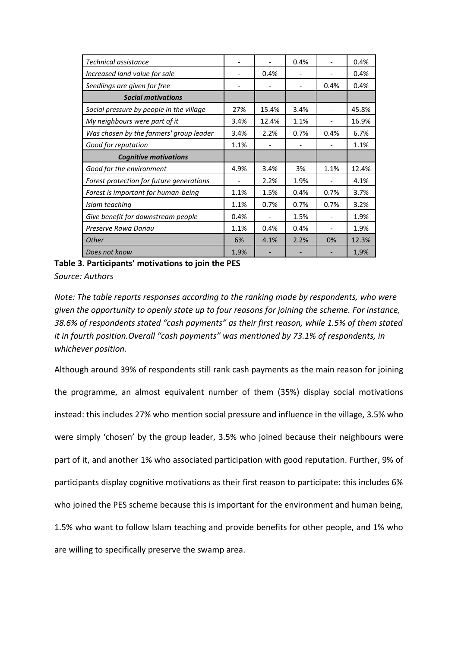| Technical assistance                     |      |       | 0.4% |      | 0.4%  |
|------------------------------------------|------|-------|------|------|-------|
| Increased land value for sale            |      | 0.4%  |      |      | 0.4%  |
| Seedlings are given for free             |      |       |      | 0.4% | 0.4%  |
| <b>Social motivations</b>                |      |       |      |      |       |
| Social pressure by people in the village | 27%  | 15.4% | 3.4% |      | 45.8% |
| My neighbours were part of it            | 3.4% | 12.4% | 1.1% |      | 16.9% |
| Was chosen by the farmers' group leader  | 3.4% | 2.2%  | 0.7% | 0.4% | 6.7%  |
| Good for reputation                      | 1.1% |       |      |      | 1.1%  |
| <b>Cognitive motivations</b>             |      |       |      |      |       |
| Good for the environment                 | 4.9% | 3.4%  | 3%   | 1.1% | 12.4% |
| Forest protection for future generations |      | 2.2%  | 1.9% |      | 4.1%  |
| Forest is important for human-being      | 1.1% | 1.5%  | 0.4% | 0.7% | 3.7%  |
| Islam teaching                           | 1.1% | 0.7%  | 0.7% | 0.7% | 3.2%  |
| Give benefit for downstream people       | 0.4% |       | 1.5% |      | 1.9%  |
| Preserve Rawa Danau                      | 1.1% | 0.4%  | 0.4% |      | 1.9%  |
| <b>Other</b>                             | 6%   | 4.1%  | 2.2% | 0%   | 12.3% |
| Does not know                            | 1,9% |       |      |      | 1,9%  |

**Table 3. Participants' motivations to join the PES** *Source: Authors*

*Note: The table reports responses according to the ranking made by respondents, who were given the opportunity to openly state up to four reasons for joining the scheme. For instance, 38.6% of respondents stated "cash payments" as their first reason, while 1.5% of them stated it in fourth position.Overall "cash payments" was mentioned by 73.1% of respondents, in whichever position.*

Although around 39% of respondents still rank cash payments as the main reason for joining the programme, an almost equivalent number of them (35%) display social motivations instead: this includes 27% who mention social pressure and influence in the village, 3.5% who were simply 'chosen' by the group leader, 3.5% who joined because their neighbours were part of it, and another 1% who associated participation with good reputation. Further, 9% of participants display cognitive motivations as their first reason to participate: this includes 6% who joined the PES scheme because this is important for the environment and human being, 1.5% who want to follow Islam teaching and provide benefits for other people, and 1% who are willing to specifically preserve the swamp area.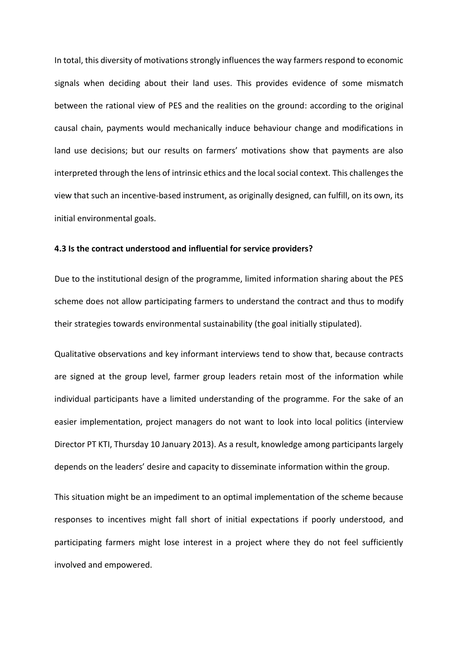In total, this diversity of motivations strongly influences the way farmers respond to economic signals when deciding about their land uses. This provides evidence of some mismatch between the rational view of PES and the realities on the ground: according to the original causal chain, payments would mechanically induce behaviour change and modifications in land use decisions; but our results on farmers' motivations show that payments are also interpreted through the lens of intrinsic ethics and the local social context. This challenges the view that such an incentive-based instrument, as originally designed, can fulfill, on its own, its initial environmental goals.

## **4.3 Is the contract understood and influential for service providers?**

Due to the institutional design of the programme, limited information sharing about the PES scheme does not allow participating farmers to understand the contract and thus to modify their strategies towards environmental sustainability (the goal initially stipulated).

Qualitative observations and key informant interviews tend to show that, because contracts are signed at the group level, farmer group leaders retain most of the information while individual participants have a limited understanding of the programme. For the sake of an easier implementation, project managers do not want to look into local politics (interview Director PT KTI, Thursday 10 January 2013). As a result, knowledge among participants largely depends on the leaders' desire and capacity to disseminate information within the group.

This situation might be an impediment to an optimal implementation of the scheme because responses to incentives might fall short of initial expectations if poorly understood, and participating farmers might lose interest in a project where they do not feel sufficiently involved and empowered.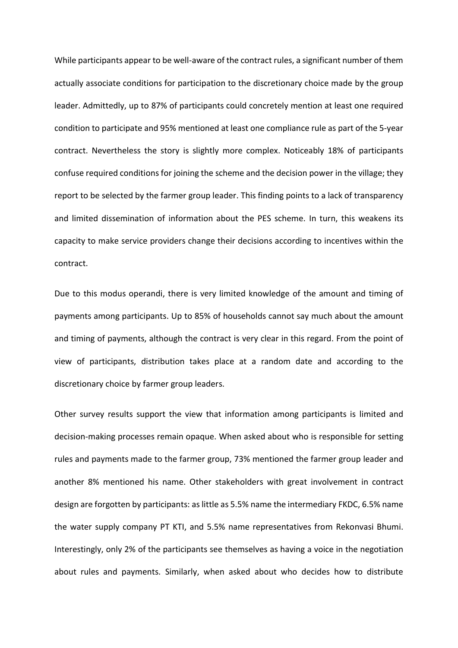While participants appear to be well-aware of the contract rules, a significant number of them actually associate conditions for participation to the discretionary choice made by the group leader. Admittedly, up to 87% of participants could concretely mention at least one required condition to participate and 95% mentioned at least one compliance rule as part of the 5-year contract. Nevertheless the story is slightly more complex. Noticeably 18% of participants confuse required conditions for joining the scheme and the decision power in the village; they report to be selected by the farmer group leader. This finding points to a lack of transparency and limited dissemination of information about the PES scheme. In turn, this weakens its capacity to make service providers change their decisions according to incentives within the contract.

Due to this modus operandi, there is very limited knowledge of the amount and timing of payments among participants. Up to 85% of households cannot say much about the amount and timing of payments, although the contract is very clear in this regard. From the point of view of participants, distribution takes place at a random date and according to the discretionary choice by farmer group leaders.

Other survey results support the view that information among participants is limited and decision-making processes remain opaque. When asked about who is responsible for setting rules and payments made to the farmer group, 73% mentioned the farmer group leader and another 8% mentioned his name. Other stakeholders with great involvement in contract design are forgotten by participants: as little as 5.5% name the intermediary FKDC, 6.5% name the water supply company PT KTI, and 5.5% name representatives from Rekonvasi Bhumi. Interestingly, only 2% of the participants see themselves as having a voice in the negotiation about rules and payments. Similarly, when asked about who decides how to distribute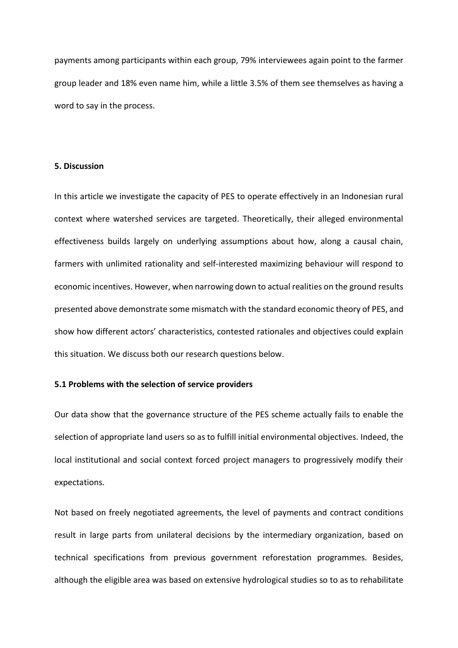payments among participants within each group, 79% interviewees again point to the farmer group leader and 18% even name him, while a little 3.5% of them see themselves as having a word to say in the process.

## **5. Discussion**

In this article we investigate the capacity of PES to operate effectively in an Indonesian rural context where watershed services are targeted. Theoretically, their alleged environmental effectiveness builds largely on underlying assumptions about how, along a causal chain, farmers with unlimited rationality and self-interested maximizing behaviour will respond to economic incentives. However, when narrowing down to actual realities on the ground results presented above demonstrate some mismatch with the standard economic theory of PES, and show how different actors' characteristics, contested rationales and objectives could explain this situation. We discuss both our research questions below.

## **5.1 Problems with the selection of service providers**

Our data show that the governance structure of the PES scheme actually fails to enable the selection of appropriate land users so as to fulfill initial environmental objectives. Indeed, the local institutional and social context forced project managers to progressively modify their expectations.

Not based on freely negotiated agreements, the level of payments and contract conditions result in large parts from unilateral decisions by the intermediary organization, based on technical specifications from previous government reforestation programmes. Besides, although the eligible area was based on extensive hydrological studies so to as to rehabilitate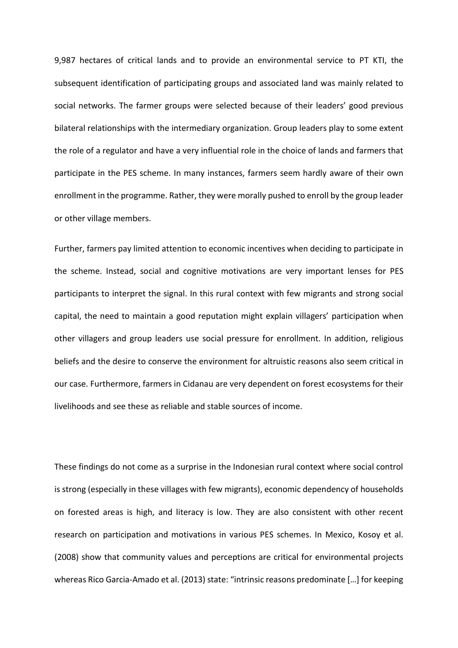9,987 hectares of critical lands and to provide an environmental service to PT KTI, the subsequent identification of participating groups and associated land was mainly related to social networks. The farmer groups were selected because of their leaders' good previous bilateral relationships with the intermediary organization. Group leaders play to some extent the role of a regulator and have a very influential role in the choice of lands and farmers that participate in the PES scheme. In many instances, farmers seem hardly aware of their own enrollment in the programme. Rather, they were morally pushed to enroll by the group leader or other village members.

Further, farmers pay limited attention to economic incentives when deciding to participate in the scheme. Instead, social and cognitive motivations are very important lenses for PES participants to interpret the signal. In this rural context with few migrants and strong social capital, the need to maintain a good reputation might explain villagers' participation when other villagers and group leaders use social pressure for enrollment. In addition, religious beliefs and the desire to conserve the environment for altruistic reasons also seem critical in our case. Furthermore, farmers in Cidanau are very dependent on forest ecosystems for their livelihoods and see these as reliable and stable sources of income.

These findings do not come as a surprise in the Indonesian rural context where social control is strong (especially in these villages with few migrants), economic dependency of households on forested areas is high, and literacy is low. They are also consistent with other recent research on participation and motivations in various PES schemes. In Mexico, Kosoy et al. (2008) show that community values and perceptions are critical for environmental projects whereas Rico Garcia-Amado et al. (2013) state: "intrinsic reasons predominate […] for keeping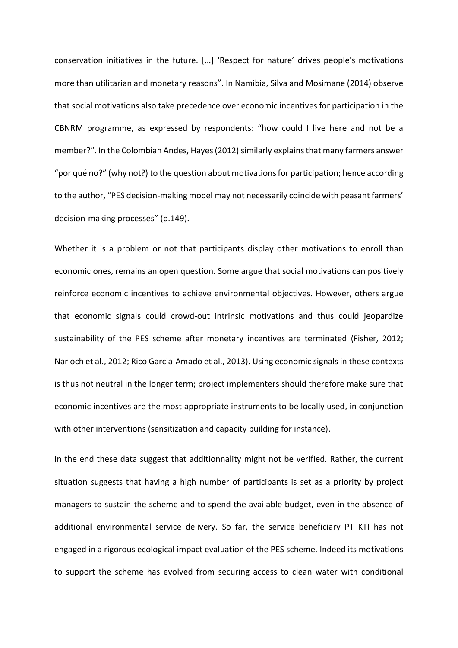conservation initiatives in the future. […] 'Respect for nature' drives people's motivations more than utilitarian and monetary reasons". In Namibia, Silva and Mosimane (2014) observe that social motivations also take precedence over economic incentives for participation in the CBNRM programme, as expressed by respondents: "how could I live here and not be a member?". In the Colombian Andes, Hayes (2012) similarly explains that many farmers answer "por qué no?" (why not?) to the question about motivations for participation; hence according to the author, "PES decision-making model may not necessarily coincide with peasant farmers' decision-making processes" (p.149).

Whether it is a problem or not that participants display other motivations to enroll than economic ones, remains an open question. Some argue that social motivations can positively reinforce economic incentives to achieve environmental objectives. However, others argue that economic signals could crowd-out intrinsic motivations and thus could jeopardize sustainability of the PES scheme after monetary incentives are terminated (Fisher, 2012; Narloch et al., 2012; Rico Garcia-Amado et al., 2013). Using economic signals in these contexts is thus not neutral in the longer term; project implementers should therefore make sure that economic incentives are the most appropriate instruments to be locally used, in conjunction with other interventions (sensitization and capacity building for instance).

In the end these data suggest that additionnality might not be verified. Rather, the current situation suggests that having a high number of participants is set as a priority by project managers to sustain the scheme and to spend the available budget, even in the absence of additional environmental service delivery. So far, the service beneficiary PT KTI has not engaged in a rigorous ecological impact evaluation of the PES scheme. Indeed its motivations to support the scheme has evolved from securing access to clean water with conditional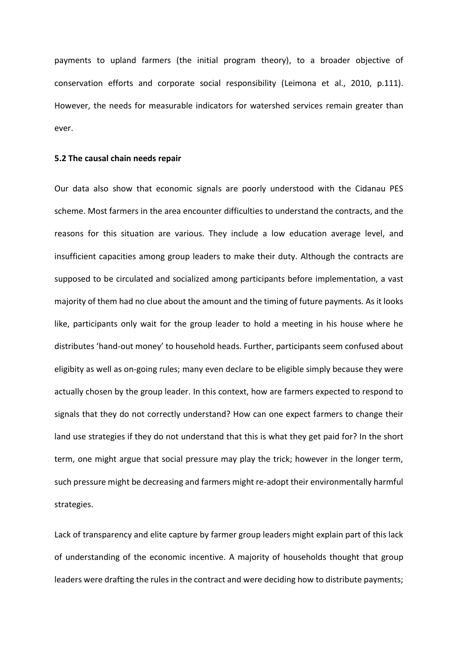payments to upland farmers (the initial program theory), to a broader objective of conservation efforts and corporate social responsibility (Leimona et al., 2010, p.111). However, the needs for measurable indicators for watershed services remain greater than ever.

#### **5.2 The causal chain needs repair**

Our data also show that economic signals are poorly understood with the Cidanau PES scheme. Most farmers in the area encounter difficulties to understand the contracts, and the reasons for this situation are various. They include a low education average level, and insufficient capacities among group leaders to make their duty. Although the contracts are supposed to be circulated and socialized among participants before implementation, a vast majority of them had no clue about the amount and the timing of future payments. As it looks like, participants only wait for the group leader to hold a meeting in his house where he distributes 'hand-out money' to household heads. Further, participants seem confused about eligibity as well as on-going rules; many even declare to be eligible simply because they were actually chosen by the group leader. In this context, how are farmers expected to respond to signals that they do not correctly understand? How can one expect farmers to change their land use strategies if they do not understand that this is what they get paid for? In the short term, one might argue that social pressure may play the trick; however in the longer term, such pressure might be decreasing and farmers might re-adopt their environmentally harmful strategies.

Lack of transparency and elite capture by farmer group leaders might explain part of this lack of understanding of the economic incentive. A majority of households thought that group leaders were drafting the rules in the contract and were deciding how to distribute payments;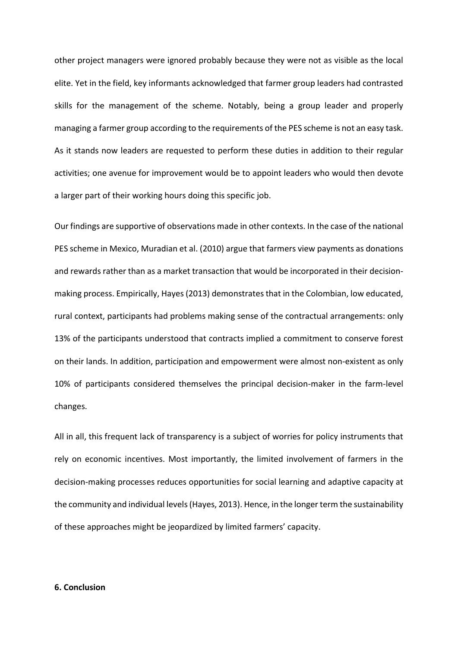other project managers were ignored probably because they were not as visible as the local elite. Yet in the field, key informants acknowledged that farmer group leaders had contrasted skills for the management of the scheme. Notably, being a group leader and properly managing a farmer group according to the requirements of the PES scheme is not an easy task. As it stands now leaders are requested to perform these duties in addition to their regular activities; one avenue for improvement would be to appoint leaders who would then devote a larger part of their working hours doing this specific job.

Our findings are supportive of observations made in other contexts. In the case of the national PES scheme in Mexico, Muradian et al. (2010) argue that farmers view payments as donations and rewards rather than as a market transaction that would be incorporated in their decisionmaking process. Empirically, Hayes(2013) demonstrates that in the Colombian, low educated, rural context, participants had problems making sense of the contractual arrangements: only 13% of the participants understood that contracts implied a commitment to conserve forest on their lands. In addition, participation and empowerment were almost non-existent as only 10% of participants considered themselves the principal decision-maker in the farm-level changes.

All in all, this frequent lack of transparency is a subject of worries for policy instruments that rely on economic incentives. Most importantly, the limited involvement of farmers in the decision-making processes reduces opportunities for social learning and adaptive capacity at the community and individual levels(Hayes, 2013). Hence, in the longer term the sustainability of these approaches might be jeopardized by limited farmers' capacity.

#### **6. Conclusion**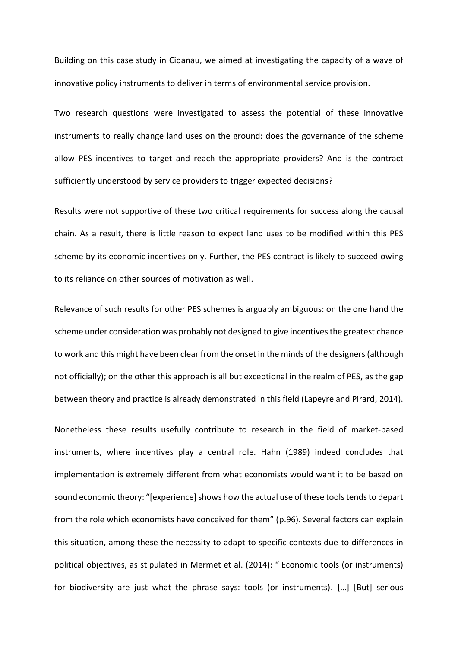Building on this case study in Cidanau, we aimed at investigating the capacity of a wave of innovative policy instruments to deliver in terms of environmental service provision.

Two research questions were investigated to assess the potential of these innovative instruments to really change land uses on the ground: does the governance of the scheme allow PES incentives to target and reach the appropriate providers? And is the contract sufficiently understood by service providers to trigger expected decisions?

Results were not supportive of these two critical requirements for success along the causal chain. As a result, there is little reason to expect land uses to be modified within this PES scheme by its economic incentives only. Further, the PES contract is likely to succeed owing to its reliance on other sources of motivation as well.

Relevance of such results for other PES schemes is arguably ambiguous: on the one hand the scheme under consideration was probably not designed to give incentives the greatest chance to work and this might have been clear from the onset in the minds of the designers (although not officially); on the other this approach is all but exceptional in the realm of PES, as the gap between theory and practice is already demonstrated in this field (Lapeyre and Pirard, 2014).

Nonetheless these results usefully contribute to research in the field of market-based instruments, where incentives play a central role. Hahn (1989) indeed concludes that implementation is extremely different from what economists would want it to be based on sound economic theory: "[experience] shows how the actual use of these tools tends to depart from the role which economists have conceived for them" (p.96). Several factors can explain this situation, among these the necessity to adapt to specific contexts due to differences in political objectives, as stipulated in Mermet et al. (2014): " Economic tools (or instruments) for biodiversity are just what the phrase says: tools (or instruments). […] [But] serious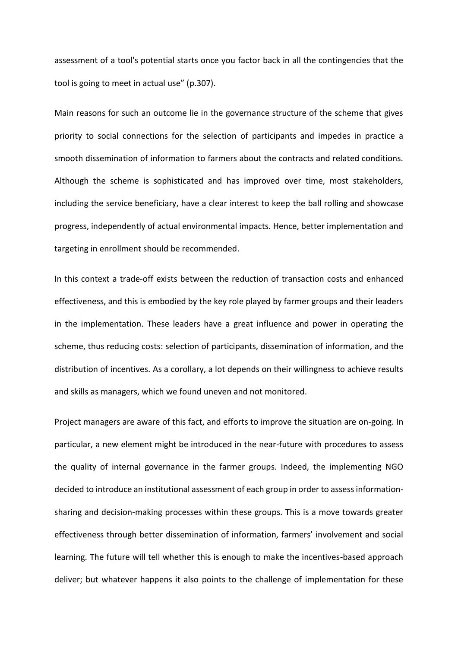assessment of a tool's potential starts once you factor back in all the contingencies that the tool is going to meet in actual use" (p.307).

Main reasons for such an outcome lie in the governance structure of the scheme that gives priority to social connections for the selection of participants and impedes in practice a smooth dissemination of information to farmers about the contracts and related conditions. Although the scheme is sophisticated and has improved over time, most stakeholders, including the service beneficiary, have a clear interest to keep the ball rolling and showcase progress, independently of actual environmental impacts. Hence, better implementation and targeting in enrollment should be recommended.

In this context a trade-off exists between the reduction of transaction costs and enhanced effectiveness, and this is embodied by the key role played by farmer groups and their leaders in the implementation. These leaders have a great influence and power in operating the scheme, thus reducing costs: selection of participants, dissemination of information, and the distribution of incentives. As a corollary, a lot depends on their willingness to achieve results and skills as managers, which we found uneven and not monitored.

Project managers are aware of this fact, and efforts to improve the situation are on-going. In particular, a new element might be introduced in the near-future with procedures to assess the quality of internal governance in the farmer groups. Indeed, the implementing NGO decided to introduce an institutional assessment of each group in order to assess informationsharing and decision-making processes within these groups. This is a move towards greater effectiveness through better dissemination of information, farmers' involvement and social learning. The future will tell whether this is enough to make the incentives-based approach deliver; but whatever happens it also points to the challenge of implementation for these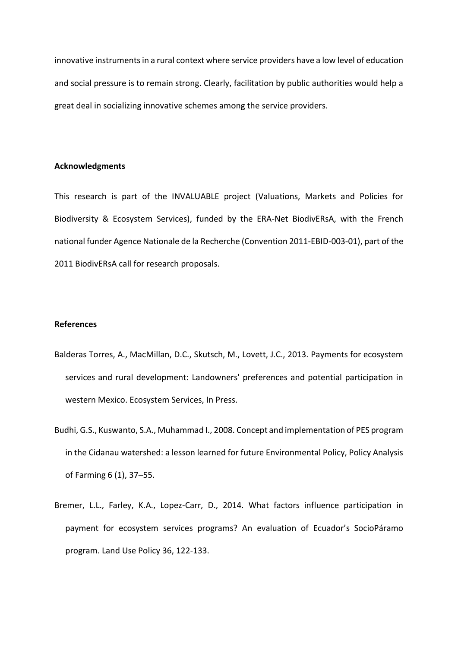innovative instruments in a rural context where service providers have a low level of education and social pressure is to remain strong. Clearly, facilitation by public authorities would help a great deal in socializing innovative schemes among the service providers.

#### **Acknowledgments**

This research is part of the INVALUABLE project (Valuations, Markets and Policies for Biodiversity & Ecosystem Services), funded by the ERA-Net BiodivERsA, with the French national funder Agence Nationale de la Recherche (Convention 2011-EBID-003-01), part of the 2011 BiodivERsA call for research proposals.

## **References**

- Balderas Torres, A., MacMillan, D.C., Skutsch, M., Lovett, J.C., 2013. Payments for ecosystem services and rural development: Landowners' preferences and potential participation in western Mexico. Ecosystem Services, In Press.
- Budhi, G.S., Kuswanto, S.A., Muhammad I., 2008. Concept and implementation of PES program in the Cidanau watershed: a lesson learned for future Environmental Policy, Policy Analysis of Farming 6 (1), 37–55.
- Bremer, L.L., Farley, K.A., Lopez-Carr, D., 2014. What factors influence participation in payment for ecosystem services programs? An evaluation of Ecuador's SocioPáramo program. Land Use Policy 36, 122-133.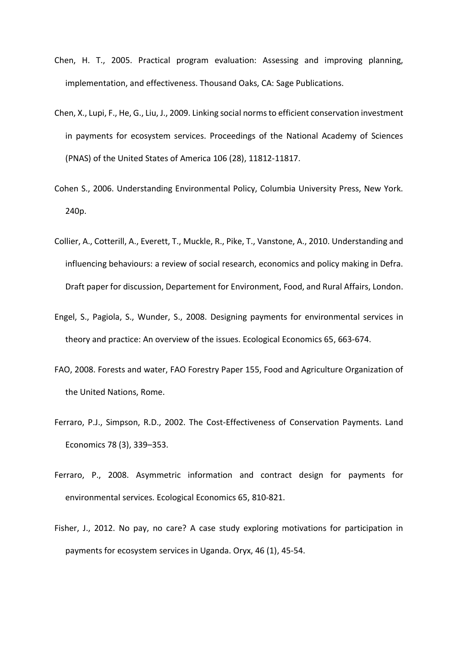- Chen, H. T., 2005. Practical program evaluation: Assessing and improving planning, implementation, and effectiveness. Thousand Oaks, CA: Sage Publications.
- Chen, X., Lupi, F., He, G., Liu, J., 2009. Linking social norms to efficient conservation investment in payments for ecosystem services. Proceedings of the National Academy of Sciences (PNAS) of the United States of America 106 (28), 11812-11817.
- Cohen S., 2006. Understanding Environmental Policy, Columbia University Press, New York. 240p.
- Collier, A., Cotterill, A., Everett, T., Muckle, R., Pike, T., Vanstone, A., 2010. Understanding and influencing behaviours: a review of social research, economics and policy making in Defra. Draft paper for discussion, Departement for Environment, Food, and Rural Affairs, London.
- Engel, S., Pagiola, S., Wunder, S., 2008. Designing payments for environmental services in theory and practice: An overview of the issues. Ecological Economics 65, 663-674.
- FAO, 2008. Forests and water, FAO Forestry Paper 155, Food and Agriculture Organization of the United Nations, Rome.
- Ferraro, P.J., Simpson, R.D., 2002. The Cost-Effectiveness of Conservation Payments. Land Economics 78 (3), 339–353.
- Ferraro, P., 2008. Asymmetric information and contract design for payments for environmental services. Ecological Economics 65, 810-821.
- Fisher, J., 2012. No pay, no care? A case study exploring motivations for participation in payments for ecosystem services in Uganda. Oryx, 46 (1), 45-54.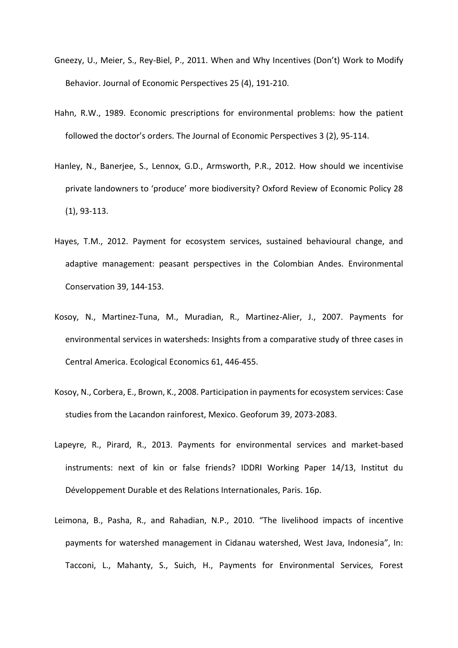- Gneezy, U., Meier, S., Rey-Biel, P., 2011. When and Why Incentives (Don't) Work to Modify Behavior. Journal of Economic Perspectives 25 (4), 191-210.
- Hahn, R.W., 1989. Economic prescriptions for environmental problems: how the patient followed the doctor's orders. The Journal of Economic Perspectives 3 (2), 95-114.
- Hanley, N., Banerjee, S., Lennox, G.D., Armsworth, P.R., 2012. How should we incentivise private landowners to 'produce' more biodiversity? Oxford Review of Economic Policy 28 (1), 93-113.
- Hayes, T.M., 2012. Payment for ecosystem services, sustained behavioural change, and adaptive management: peasant perspectives in the Colombian Andes. Environmental Conservation 39, 144-153.
- Kosoy, N., Martinez-Tuna, M., Muradian, R., Martinez-Alier, J., 2007. Payments for environmental services in watersheds: Insights from a comparative study of three cases in Central America. Ecological Economics 61, 446-455.
- Kosoy, N., Corbera, E., Brown, K., 2008. Participation in payments for ecosystem services: Case studies from the Lacandon rainforest, Mexico. Geoforum 39, 2073-2083.
- Lapeyre, R., Pirard, R., 2013. Payments for environmental services and market-based instruments: next of kin or false friends? IDDRI Working Paper 14/13, Institut du Développement Durable et des Relations Internationales, Paris. 16p.
- Leimona, B., Pasha, R., and Rahadian, N.P., 2010. "The livelihood impacts of incentive payments for watershed management in Cidanau watershed, West Java, Indonesia", In: Tacconi, L., Mahanty, S., Suich, H., Payments for Environmental Services, Forest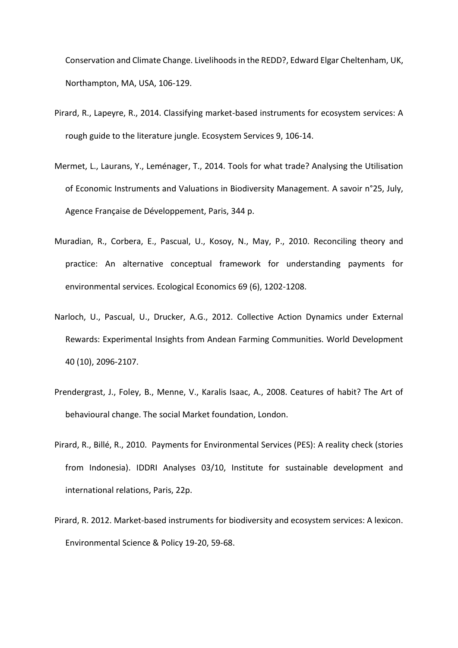Conservation and Climate Change. Livelihoods in the REDD?, Edward Elgar Cheltenham, UK, Northampton, MA, USA, 106-129.

- Pirard, R., Lapeyre, R., 2014. Classifying market-based instruments for ecosystem services: A rough guide to the literature jungle. Ecosystem Services 9, 106-14.
- Mermet, L., Laurans, Y., Leménager, T., 2014. Tools for what trade? Analysing the Utilisation of Economic Instruments and Valuations in Biodiversity Management. A savoir n°25, July, Agence Française de Développement, Paris, 344 p.
- Muradian, R., Corbera, E., Pascual, U., Kosoy, N., May, P., 2010. Reconciling theory and practice: An alternative conceptual framework for understanding payments for environmental services. Ecological Economics 69 (6), 1202-1208.
- Narloch, U., Pascual, U., Drucker, A.G., 2012. Collective Action Dynamics under External Rewards: Experimental Insights from Andean Farming Communities. World Development 40 (10), 2096-2107.
- Prendergrast, J., Foley, B., Menne, V., Karalis Isaac, A., 2008. Ceatures of habit? The Art of behavioural change. The social Market foundation, London.
- Pirard, R., Billé, R., 2010. Payments for Environmental Services (PES): A reality check (stories from Indonesia). IDDRI Analyses 03/10, Institute for sustainable development and international relations, Paris, 22p.
- Pirard, R. 2012. Market-based instruments for biodiversity and ecosystem services: A lexicon. Environmental Science & Policy 19-20, 59-68.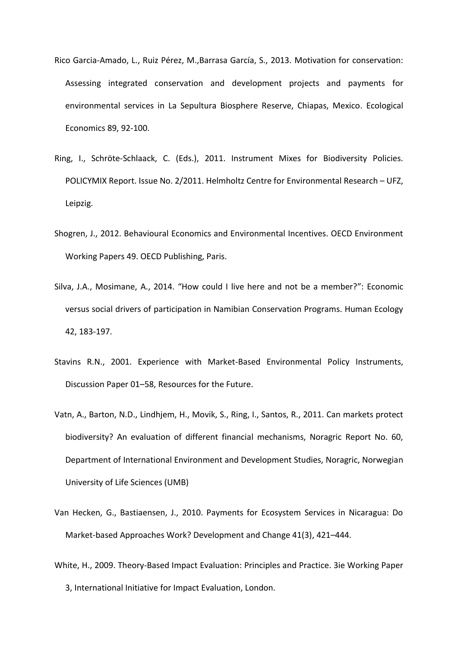- Rico Garcia-Amado, L., Ruiz Pérez, M.,Barrasa García, S., 2013. Motivation for conservation: Assessing integrated conservation and development projects and payments for environmental services in La Sepultura Biosphere Reserve, Chiapas, Mexico. Ecological Economics 89, 92-100.
- Ring, I., Schröte-Schlaack, C. (Eds.), 2011. Instrument Mixes for Biodiversity Policies. POLICYMIX Report. Issue No. 2/2011. Helmholtz Centre for Environmental Research – UFZ, Leipzig.
- Shogren, J., 2012. Behavioural Economics and Environmental Incentives. OECD Environment Working Papers 49. OECD Publishing, Paris.
- Silva, J.A., Mosimane, A., 2014. "How could I live here and not be a member?": Economic versus social drivers of participation in Namibian Conservation Programs. Human Ecology 42, 183-197.
- Stavins R.N., 2001. Experience with Market-Based Environmental Policy Instruments, Discussion Paper 01–58, Resources for the Future.
- Vatn, A., Barton, N.D., Lindhjem, H., Movik, S., Ring, I., Santos, R., 2011. Can markets protect biodiversity? An evaluation of different financial mechanisms, Noragric Report No. 60, Department of International Environment and Development Studies, Noragric, Norwegian University of Life Sciences (UMB)
- Van Hecken, G., Bastiaensen, J., 2010. Payments for Ecosystem Services in Nicaragua: Do Market-based Approaches Work? Development and Change 41(3), 421–444.
- White, H., 2009. Theory-Based Impact Evaluation: Principles and Practice. 3ie Working Paper 3, International Initiative for Impact Evaluation, London.